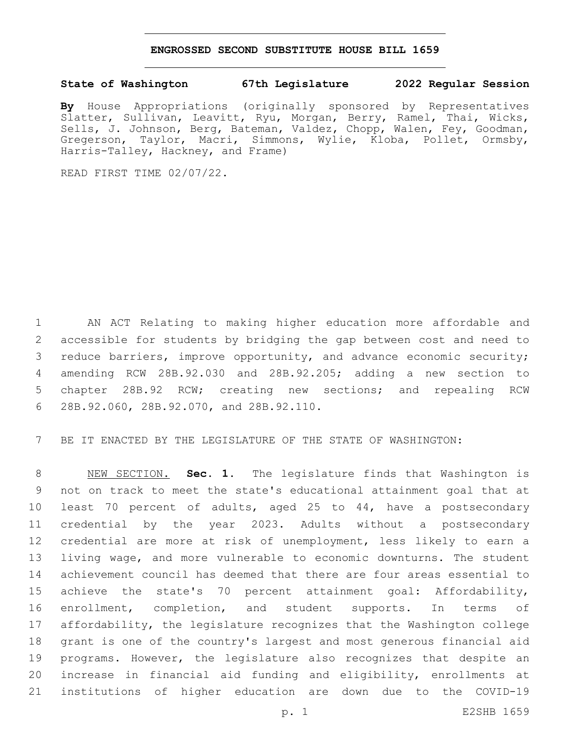## **ENGROSSED SECOND SUBSTITUTE HOUSE BILL 1659**

## **State of Washington 67th Legislature 2022 Regular Session**

**By** House Appropriations (originally sponsored by Representatives Slatter, Sullivan, Leavitt, Ryu, Morgan, Berry, Ramel, Thai, Wicks, Sells, J. Johnson, Berg, Bateman, Valdez, Chopp, Walen, Fey, Goodman, Gregerson, Taylor, Macri, Simmons, Wylie, Kloba, Pollet, Ormsby, Harris-Talley, Hackney, and Frame)

READ FIRST TIME 02/07/22.

 AN ACT Relating to making higher education more affordable and accessible for students by bridging the gap between cost and need to reduce barriers, improve opportunity, and advance economic security; amending RCW 28B.92.030 and 28B.92.205; adding a new section to chapter 28B.92 RCW; creating new sections; and repealing RCW 28B.92.060, 28B.92.070, and 28B.92.110.6

BE IT ENACTED BY THE LEGISLATURE OF THE STATE OF WASHINGTON:

 NEW SECTION. **Sec. 1.** The legislature finds that Washington is not on track to meet the state's educational attainment goal that at least 70 percent of adults, aged 25 to 44, have a postsecondary credential by the year 2023. Adults without a postsecondary credential are more at risk of unemployment, less likely to earn a living wage, and more vulnerable to economic downturns. The student achievement council has deemed that there are four areas essential to achieve the state's 70 percent attainment goal: Affordability, enrollment, completion, and student supports. In terms of affordability, the legislature recognizes that the Washington college grant is one of the country's largest and most generous financial aid programs. However, the legislature also recognizes that despite an increase in financial aid funding and eligibility, enrollments at institutions of higher education are down due to the COVID-19

p. 1 E2SHB 1659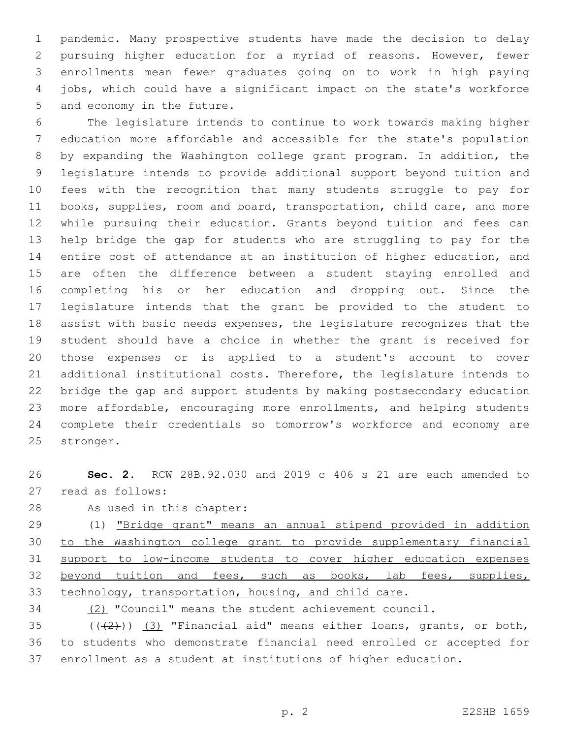pandemic. Many prospective students have made the decision to delay pursuing higher education for a myriad of reasons. However, fewer enrollments mean fewer graduates going on to work in high paying jobs, which could have a significant impact on the state's workforce 5 and economy in the future.

 The legislature intends to continue to work towards making higher education more affordable and accessible for the state's population by expanding the Washington college grant program. In addition, the legislature intends to provide additional support beyond tuition and fees with the recognition that many students struggle to pay for books, supplies, room and board, transportation, child care, and more while pursuing their education. Grants beyond tuition and fees can help bridge the gap for students who are struggling to pay for the entire cost of attendance at an institution of higher education, and are often the difference between a student staying enrolled and completing his or her education and dropping out. Since the legislature intends that the grant be provided to the student to assist with basic needs expenses, the legislature recognizes that the student should have a choice in whether the grant is received for those expenses or is applied to a student's account to cover additional institutional costs. Therefore, the legislature intends to bridge the gap and support students by making postsecondary education more affordable, encouraging more enrollments, and helping students complete their credentials so tomorrow's workforce and economy are 25 stronger.

 **Sec. 2.** RCW 28B.92.030 and 2019 c 406 s 21 are each amended to 27 read as follows:

28 As used in this chapter:

 (1) "Bridge grant" means an annual stipend provided in addition to the Washington college grant to provide supplementary financial support to low-income students to cover higher education expenses 32 beyond tuition and fees, such as books, lab fees, supplies, technology, transportation, housing, and child care.

(2) "Council" means the student achievement council.

35  $((+2+))$   $(3)$  "Financial aid" means either loans, grants, or both, to students who demonstrate financial need enrolled or accepted for enrollment as a student at institutions of higher education.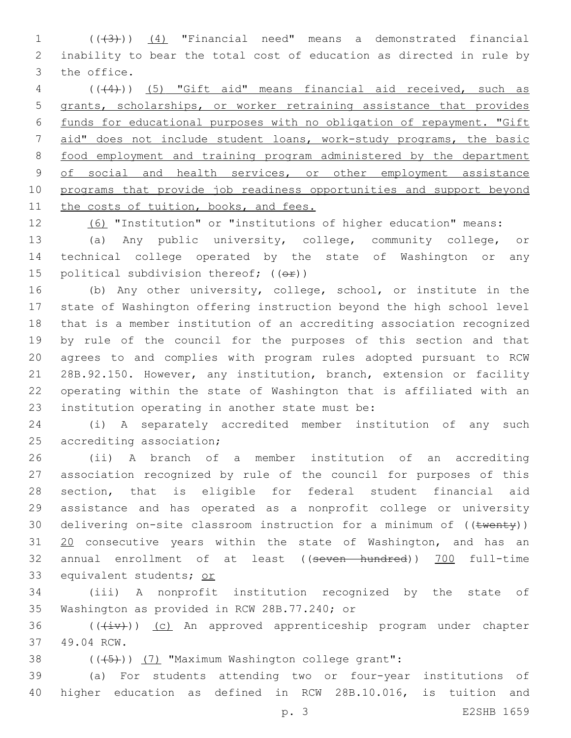(((3))) (4) "Financial need" means a demonstrated financial inability to bear the total cost of education as directed in rule by 3 the office.

 (((4))) (5) "Gift aid" means financial aid received, such as grants, scholarships, or worker retraining assistance that provides funds for educational purposes with no obligation of repayment. "Gift 7 aid" does not include student loans, work-study programs, the basic food employment and training program administered by the department 9 of social and health services, or other employment assistance programs that provide job readiness opportunities and support beyond 11 the costs of tuition, books, and fees.

(6) "Institution" or "institutions of higher education" means:

 (a) Any public university, college, community college, or technical college operated by the state of Washington or any 15 political subdivision thereof;  $((\theta \cdot \mathbf{r}))$ 

 (b) Any other university, college, school, or institute in the state of Washington offering instruction beyond the high school level that is a member institution of an accrediting association recognized by rule of the council for the purposes of this section and that agrees to and complies with program rules adopted pursuant to RCW 28B.92.150. However, any institution, branch, extension or facility operating within the state of Washington that is affiliated with an 23 institution operating in another state must be:

 (i) A separately accredited member institution of any such 25 accrediting association;

 (ii) A branch of a member institution of an accrediting association recognized by rule of the council for purposes of this section, that is eligible for federal student financial aid assistance and has operated as a nonprofit college or university 30 delivering on-site classroom instruction for a minimum of ((twenty)) 20 consecutive years within the state of Washington, and has an annual enrollment of at least ((seven hundred)) 700 full-time equivalent students; or

 (iii) A nonprofit institution recognized by the state of 35 Washington as provided in RCW 28B.77.240; or

36 (((iv))) (c) An approved apprenticeship program under chapter 49.04 RCW.37

38 (((+5))) (7) "Maximum Washington college grant":

 (a) For students attending two or four-year institutions of higher education as defined in RCW 28B.10.016, is tuition and

p. 3 E2SHB 1659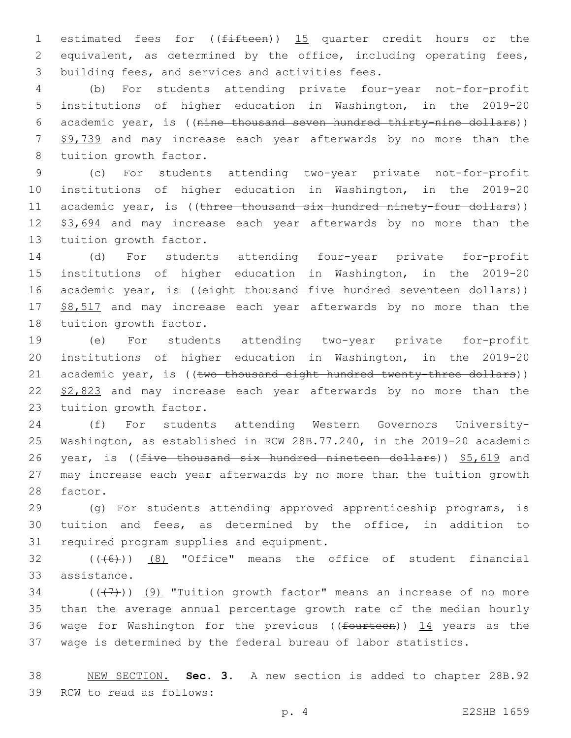1 estimated fees for ((fifteen)) 15 quarter credit hours or the 2 equivalent, as determined by the office, including operating fees, 3 building fees, and services and activities fees.

4 (b) For students attending private four-year not-for-profit 5 institutions of higher education in Washington, in the 2019-20 6 academic year, is ((nine thousand seven hundred thirty-nine dollars)) 7 \$9,739 and may increase each year afterwards by no more than the 8 tuition growth factor.

9 (c) For students attending two-year private not-for-profit 10 institutions of higher education in Washington, in the 2019-20 11 academic year, is ((three thousand six hundred ninety-four dollars)) 12 \$3,694 and may increase each year afterwards by no more than the 13 tuition growth factor.

14 (d) For students attending four-year private for-profit 15 institutions of higher education in Washington, in the 2019-20 16 academic year, is ((eight thousand five hundred seventeen dollars)) 17 \$8,517 and may increase each year afterwards by no more than the 18 tuition growth factor.

19 (e) For students attending two-year private for-profit 20 institutions of higher education in Washington, in the 2019-20 21 academic year, is ((two thousand eight hundred twenty-three dollars)) 22 \$2,823 and may increase each year afterwards by no more than the 23 tuition growth factor.

24 (f) For students attending Western Governors University-25 Washington, as established in RCW 28B.77.240, in the 2019-20 academic 26 year, is ((five thousand six hundred nineteen dollars)) \$5,619 and 27 may increase each year afterwards by no more than the tuition growth 28 factor.

29 (g) For students attending approved apprenticeship programs, is 30 tuition and fees, as determined by the office, in addition to 31 required program supplies and equipment.

 $32$  (( $(46)$ )) (8) "Office" means the office of student financial 33 assistance.

 $((+7+))$  (9) "Tuition growth factor" means an increase of no more than the average annual percentage growth rate of the median hourly 36 wage for Washington for the previous ( $(f<sub>outteen</sub>)$ ) 14 years as the wage is determined by the federal bureau of labor statistics.

38 NEW SECTION. **Sec. 3.** A new section is added to chapter 28B.92 39 RCW to read as follows:

p. 4 E2SHB 1659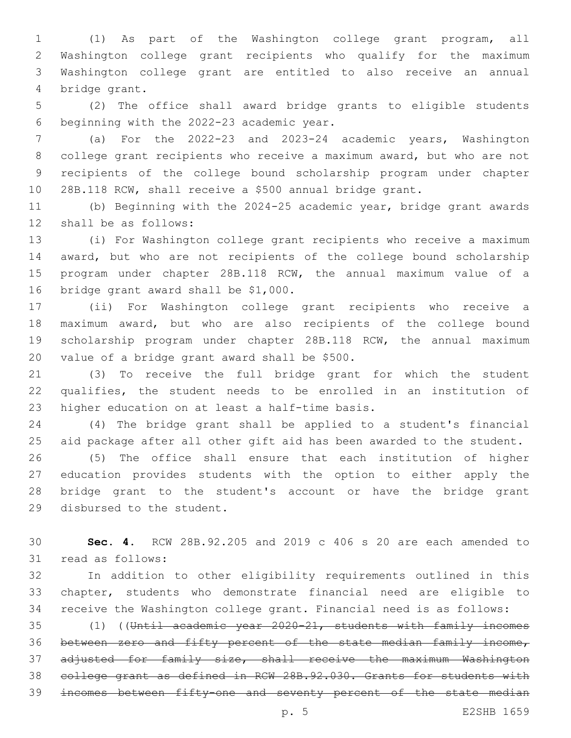(1) As part of the Washington college grant program, all Washington college grant recipients who qualify for the maximum Washington college grant are entitled to also receive an annual 4 bridge grant.

 (2) The office shall award bridge grants to eligible students 6 beginning with the 2022-23 academic year.

 (a) For the 2022-23 and 2023-24 academic years, Washington college grant recipients who receive a maximum award, but who are not recipients of the college bound scholarship program under chapter 28B.118 RCW, shall receive a \$500 annual bridge grant.

 (b) Beginning with the 2024-25 academic year, bridge grant awards 12 shall be as follows:

 (i) For Washington college grant recipients who receive a maximum award, but who are not recipients of the college bound scholarship program under chapter 28B.118 RCW, the annual maximum value of a 16 bridge grant award shall be \$1,000.

 (ii) For Washington college grant recipients who receive a maximum award, but who are also recipients of the college bound scholarship program under chapter 28B.118 RCW, the annual maximum 20 value of a bridge grant award shall be  $$500$ .

 (3) To receive the full bridge grant for which the student qualifies, the student needs to be enrolled in an institution of 23 higher education on at least a half-time basis.

 (4) The bridge grant shall be applied to a student's financial aid package after all other gift aid has been awarded to the student.

 (5) The office shall ensure that each institution of higher education provides students with the option to either apply the bridge grant to the student's account or have the bridge grant 29 disbursed to the student.

 **Sec. 4.** RCW 28B.92.205 and 2019 c 406 s 20 are each amended to 31 read as follows:

 In addition to other eligibility requirements outlined in this chapter, students who demonstrate financial need are eligible to receive the Washington college grant. Financial need is as follows:

 (1) ((Until academic year 2020-21, students with family incomes between zero and fifty percent of the state median family income, 37 adjusted for family size, shall receive the maximum Washington college grant as defined in RCW 28B.92.030. Grants for students with incomes between fifty-one and seventy percent of the state median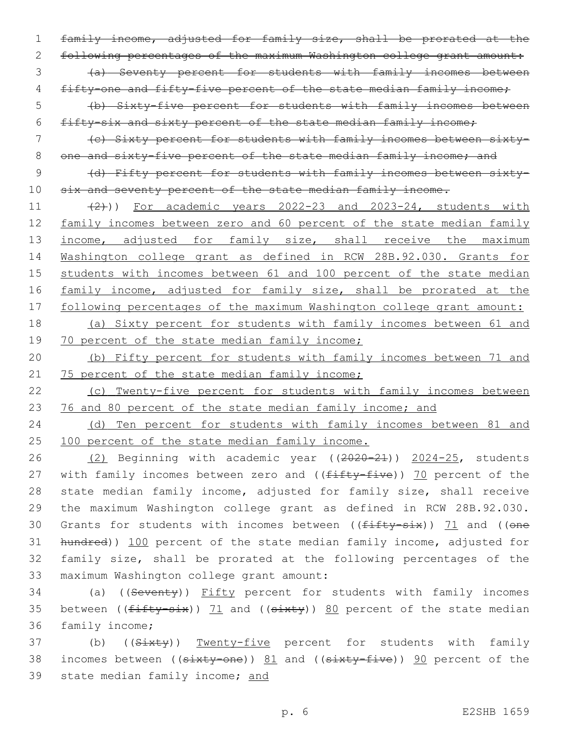family income, adjusted for family size, shall be prorated at the following percentages of the maximum Washington college grant amount: (a) Seventy percent for students with family incomes between 4 fifty-one and fifty-five percent of the state median family income;

5 (b) Sixty-five percent for students with family incomes between 6 fifty-six and sixty percent of the state median family income;

7 (c) Sixty percent for students with family incomes between sixty-8 one and sixty-five percent of the state median family income; and

9 (d) Fifty percent for students with family incomes between sixty-10 six and seventy percent of the state median family income.

11 (2)) For academic years 2022-23 and 2023-24, students with 12 family incomes between zero and 60 percent of the state median family 13 income, adjusted for family size, shall receive the maximum 14 Washington college grant as defined in RCW 28B.92.030. Grants for 15 students with incomes between 61 and 100 percent of the state median 16 family income, adjusted for family size, shall be prorated at the 17 following percentages of the maximum Washington college grant amount:

18 (a) Sixty percent for students with family incomes between 61 and 19 70 percent of the state median family income;

20 (b) Fifty percent for students with family incomes between 71 and 21 75 percent of the state median family income;

22 (c) Twenty-five percent for students with family incomes between 23 76 and 80 percent of the state median family income; and

24 (d) Ten percent for students with family incomes between 81 and 25 100 percent of the state median family income.

26 (2) Beginning with academic year ((2020-21)) 2024-25, students 27 with family incomes between zero and ((fifty-five)) 70 percent of the 28 state median family income, adjusted for family size, shall receive 29 the maximum Washington college grant as defined in RCW 28B.92.030. 30 Grants for students with incomes between  $((f<sub>iffty-si</sub>), 71$  and  $((\theta<sub>ne</sub>),\theta<sub>ne</sub>)$ 31 hundred)) 100 percent of the state median family income, adjusted for 32 family size, shall be prorated at the following percentages of the 33 maximum Washington college grant amount:

34 (a) ((Seventy)) Fifty percent for students with family incomes 35 between ( $(fiffy-six)$ ) 71 and ( $(sirky)$ ) 80 percent of the state median 36 family income;

37 (b) ((Sixty)) Twenty-five percent for students with family 38 incomes between ((sixty-one)) 81 and ((sixty-five)) 90 percent of the 39 state median family income; and